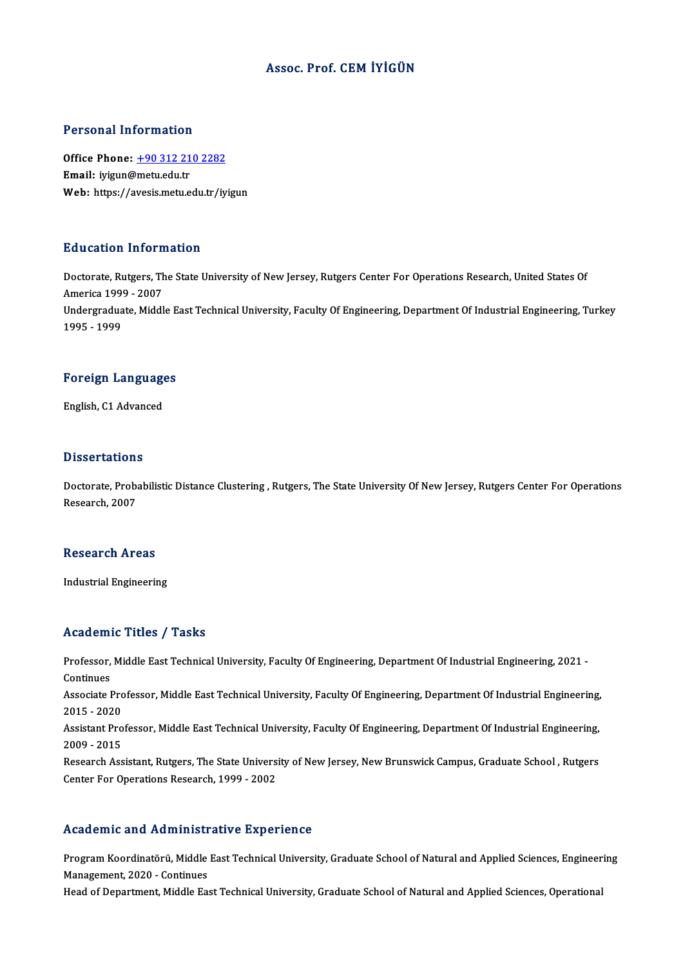#### Assoc. Prof. CEMİYİGÜN

#### Personal Information

Personal Information<br>Office Phone: <u>+90 312 210 2282</u><br>Email: ivigua@matuedu.tr 1 ST ST STATE THE STATE OF STATE OF STATE OF STATE STATE THAT THE UPPER STATE OF THE UPPER STATE OF THE UPPER STATE OF THE UPPER STATE OF THE UPPER STATE OF THE UPPER STATE OF THE UPPER STATE OF THE UPPER STATE OF THE UPPE Email: iyigun@metu.edu.tr<br>Web: https://a[vesis.metu.edu.tr/iy](tel:+90 312 210 2282)igun

#### Education Information

Education Information<br>Doctorate, Rutgers, The State University of New Jersey, Rutgers Center For Operations Research, United States Of America 1999 - 2007<br>America 1999 - 2007<br>Undergraduate Middl Doctorate, Rutgers, The State University of New Jersey, Rutgers Center For Operations Research, United States Of<br>America 1999 - 2007<br>Undergraduate, Middle East Technical University, Faculty Of Engineering, Department Of In America 199<br>Undergradua<br>1995 - 1999

## 1995 - 1999<br>Foreign Languages F<mark>oreign Languag</mark>e<br>English, C1 Advanced

English, C1 Advanced<br>Dissertations

Dissertations<br>Doctorate, Probabilistic Distance Clustering , Rutgers, The State University Of New Jersey, Rutgers Center For Operations<br>Researsh 2007 2 18881 tatron:<br>Doctorate, Prob.<br>Research, 2007

# Research, 2007<br>Research Areas

Industrial Engineering

#### Academic Titles / Tasks

Academic Titles / Tasks<br>Professor, Middle East Technical University, Faculty Of Engineering, Department Of Industrial Engineering, 2021<br>Centinues Professor,<br>Continues<br>Associate L Professor, Middle East Technical University, Faculty Of Engineering, Department Of Industrial Engineering, 2021<br>Continues<br>Associate Professor, Middle East Technical University, Faculty Of Engineering, Department Of Industr Continues<br>Associate Pro<br>2015 - 2020<br>Assistant Pro

Associate Professor, Middle East Technical University, Faculty Of Engineering, Department Of Industrial Engineering,<br>2015 - 2020<br>Assistant Professor, Middle East Technical University, Faculty Of Engineering, Department Of

2015 - 2020<br>Assistant Pro<br>2009 - 2015<br>Besearsh Ass Assistant Professor, Middle East Technical University, Faculty Of Engineering, Department Of Industrial Engineering,<br>2009 - 2015<br>Research Assistant, Rutgers, The State University of New Jersey, New Brunswick Campus, Gradua

2009 - 2015<br>Research Assistant, Rutgers, The State University of New Jersey, New Brunswick Campus, Graduate School , Rutgers<br>Center For Operations Research, 1999 - 2002

#### Academic and Administrative Experience

Academic and Administrative Experience<br>Program Koordinatörü, Middle East Technical University, Graduate School of Natural and Applied Sciences, Engineering<br>Management 2020, Continues Management, and Trammiser<br>Program Koordinatörü, Middle<br>Management, 2020 - Continues<br>Heed of Depertment, Middle Fe Program Koordinatörü, Middle East Technical University, Graduate School of Natural and Applied Sciences, Engineer<br>Management, 2020 - Continues<br>Head of Department, Middle East Technical University, Graduate School of Natura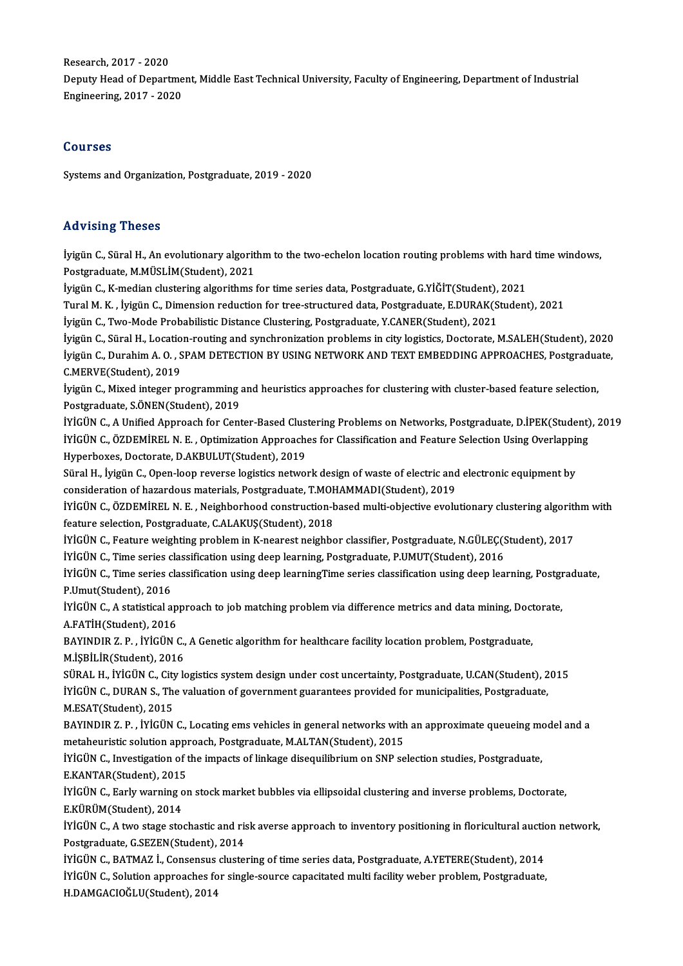Research,2017 -2020 Deputy Head of Department, Middle East Technical University, Faculty of Engineering, Department of Industrial Engineering,2017 -2020

#### Courses

Systems and Organization, Postgraduate, 2019 - 2020

#### Advising Theses

Advising Theses<br>İyigün C., Süral H., An evolutionary algorithm to the two-echelon location routing problems with hard time windows,<br>Restanaduate M.MÜSLİM(Student), 2021 rra vising "Incoco"<br>İyigün C., Süral H., An evolutionary algorit<br>Postgraduate, M.MÜSLİM(Student), 2021<br>İyigün C. K median slustaring algorithme i İyigün C., Süral H., An evolutionary algorithm to the two-echelon location routing problems with hard<br>Postgraduate, M.MÜSLİM(Student), 2021<br>İyigün C., K-median clustering algorithms for time series data, Postgraduate, G.Yİ Postgraduate, M.MÜSLİM(Student), 2021<br>İyigün C., K-median clustering algorithms for time series data, Postgraduate, G.YİĞİT(Student), 2021<br>Tural M. K. , İyigün C., Dimension reduction for tree-structured data, Postgraduate

İyigün C., K-median clustering algorithms for time series data, Postgraduate, G.YİĞİT(Student), 2021

Tural M. K. , İyigün C., Dimension reduction for tree-structured data, Postgraduate, E.DURAK(Student), 2021<br>İyigün C., Two-Mode Probabilistic Distance Clustering, Postgraduate, Y.CANER(Student), 2021<br>İyigün C., Süral H., L İyigün C., Two-Mode Probabilistic Distance Clustering, Postgraduate, Y.CANER(Student), 2021<br>İyigün C., Süral H., Location-routing and synchronization problems in city logistics, Doctorate, M.SALEH(Student), 2020<br>İyigün C., İyigün C., Süral H., Locatio<br>İyigün C., Durahim A. O. , S<br>C.MERVE(Student), 2019<br>İyigün C. Miyod integer pı İyigün C., Durahim A. O. , SPAM DETECTION BY USING NETWORK AND TEXT EMBEDDING APPROACHES, Postgraduate,<br>C.MERVE(Student), 2019<br>İyigün C., Mixed integer programming and heuristics approaches for clustering with cluster-base

Postgraduate, S.ÖNEN(Student), 2019 İyigün C., Mixed integer programming and heuristics approaches for clustering with cluster-based feature selection,<br>Postgraduate, S.ÖNEN(Student), 2019<br>İYİGÜN C., A Unified Approach for Center-Based Clustering Problems on

Postgraduate, S.ÖNEN(Student), 2019<br>İYİGÜN C., A Unified Approach for Center-Based Clustering Problems on Networks, Postgraduate, D.İPEK(Student)<br>İYİGÜN C., ÖZDEMİREL N. E. , Optimization Approaches for Classification and iYiGÜN C., A Unified Approach for Center-Based Clus<br>iYiGÜN C., ÖZDEMİREL N. E. , Optimization Approach<br>Hyperboxes, Doctorate, D.AKBULUT(Student), 2019<br>Süral H. İrigün G. Open leen reverse logistics netvol IYIGÜN C., ÖZDEMIREL N. E. , Optimization Approaches for Classification and Feature Selection Using Overlapping<br>Hyperboxes, Doctorate, D.AKBULUT(Student), 2019<br>Süral H., İyigün C., Open-loop reverse logistics network desig

Süral H., İyigün C., Open-loop reverse logistics network design of waste of electric and electronic equipment by Süral H., İyigün C., Open-loop reverse logistics network design of waste of electric and electronic equipment by<br>consideration of hazardous materials, Postgraduate, T.MOHAMMADI(Student), 2019<br>İYİGÜN C., ÖZDEMİREL N. E. , N

consideration of hazardous materials, Postgraduate, T.MO<br>IYIGÜN C., ÖZDEMİREL N. E. , Neighborhood construction-b<br>feature selection, Postgraduate, C.ALAKUŞ(Student), 2018<br>IVICÜN C. Feature veighting problem in K nearest pe İYİGÜN C., ÖZDEMİREL N. E. , Neighborhood construction-based multi-objective evolutionary clustering algoritl<br>feature selection, Postgraduate, C.ALAKUŞ(Student), 2018<br>İYİGÜN C., Feature weighting problem in K-nearest neigh feature selection, Postgraduate, C.ALAKUŞ(Student), 2018<br>İYİGÜN C., Feature weighting problem in K-nearest neighbor classifier, Postgraduate, N.GÜLEÇ(S<br>İYİGÜN C., Time series classification using deep learning, Postgraduat

İYİGÜN C., Feature weighting problem in K-nearest neighbor classifier, Postgraduate, N.GÜLEÇ(Student), 2017<br>İYİGÜN C., Time series classification using deep learning, Postgraduate, P.UMUT(Student), 2016<br>İYİGÜN C., Time ser İYİGÜN C., Time series classification using deep learning, Postgraduate, P.UMUT(Student), 2016<br>İYİGÜN C., Time series classification using deep learningTime series classification using deep learning, Postgraduate,<br>P.Umut(S IYİGÜN C., Time series classification using deep learningTime series classification using deep learning, Postgr<br>P.Umut(Student), 2016<br>IYİGÜN C., A statistical approach to job matching problem via difference metrics and dat

P.Umut(Student), 2016<br>İYİGÜN C., A statistical ap<br>A.FATİH(Student), 2016<br>PAYINDIP 7-P. İVİÇÜN ( IYIGÜN C., A statistical approach to job matching problem via difference metrics and data mining, Doct<br>A.FATİH(Student), 2016<br>BAYINDIR Z. P. , İYİGÜN C., A Genetic algorithm for healthcare facility location problem, Postgr

A.FATİH(Student), 2016<br>BAYINDIR Z. P. , İYİGÜN C., A Genetic algorithm for healthcare facility location problem, Postgraduate,<br>M.İŞBİLİR(Student), 2016 BAYINDIR Z. P. , İYİGÜN C., A Genetic algorithm for healthcare facility location problem, Postgraduate,<br>M.İŞBİLİR(Student), 2016<br>SÜRAL H., İYİGÜN C., City logistics system design under cost uncertainty, Postgraduate, U.CAN

M.İŞBİLİR(Student), 2016<br>SÜRAL H., İYİGÜN C., City logistics system design under cost uncertainty, Postgraduate, U.CAN(Student), 2<br>İYİGÜN C., DURAN S., The valuation of government guarantees provided for municipalities, Po SÜRAL H., İYİGÜN C., City<br>İYİGÜN C., DURAN S., Tho<br>M.ESAT(Student), 2015<br>BAYINDIR 7- B., İYİÇÜN iYiGÜN C., DURAN S., The valuation of government guarantees provided for municipalities, Postgraduate,<br>M.ESAT(Student), 2015<br>BAYINDIR Z. P. , İYİGÜN C., Locating ems vehicles in general networks with an approximate queuein

M.ESAT(Student), 2015<br>BAYINDIR Z. P. , İYİGÜN C., Locating ems vehicles in general networks with<br>metaheuristic solution approach, Postgraduate, M.ALTAN(Student), 2015<br>ivicün c. Investigation of the impegte of linkage diseq BAYINDIR Z. P. , İYİGÜN C., Locating ems vehicles in general networks with an approximate queueing metaheuristic solution approach, Postgraduate, M.ALTAN(Student), 2015<br>İYİGÜN C., Investigation of the impacts of linkage di

metaheuristic solution appi<br>İYİGÜN C., Investigation of t<br>E.KANTAR(Student), 2015<br>İVİCÜN C. Farkı yarnına el İYİGÜN C., Investigation of the impacts of linkage disequilibrium on SNP selection studies, Postgraduate,<br>E.KANTAR(Student), 2015<br>İYİGÜN C., Early warning on stock market bubbles via ellipsoidal clustering and inverse prob

E.KANTAR(Student), 2015<br>İYİGÜN C., Early warning on stock market bubbles via ellipsoidal clustering and inverse problems, Doctorate,<br>E.KÜRÜM(Student), 2014 İYİGÜN C., Early warning on stock market bubbles via ellipsoidal clustering and inverse problems, Doctorate,<br>E.KÜRÜM(Student), 2014<br>İYİGÜN C., A two stage stochastic and risk averse approach to inventory positioning in flo

E.KÜRÜM(Student), 2014<br>İYİGÜN C., A two stage stochastic and ris<br>Postgraduate, G.SEZEN(Student), 2014<br>İVİCÜN C. BATMAZ İ. Consensus slugtat IYİGÜN C., A two stage stochastic and risk averse approach to inventory positioning in floricultural auctions<br>Postgraduate, G.SEZEN(Student), 2014<br>IYİGÜN C., BATMAZ İ., Consensus clustering of time series data, Postgraduat

Postgraduate, G.SEZEN(Student), 2014<br>İYİGÜN C., BATMAZ İ., Consensus clustering of time series data, Postgraduate, A.YETERE(Student), 2014<br>İYİGÜN C., Solution approaches for single-source capacitated multi facility weber p H.DAMGACIOĞLU(Student),2014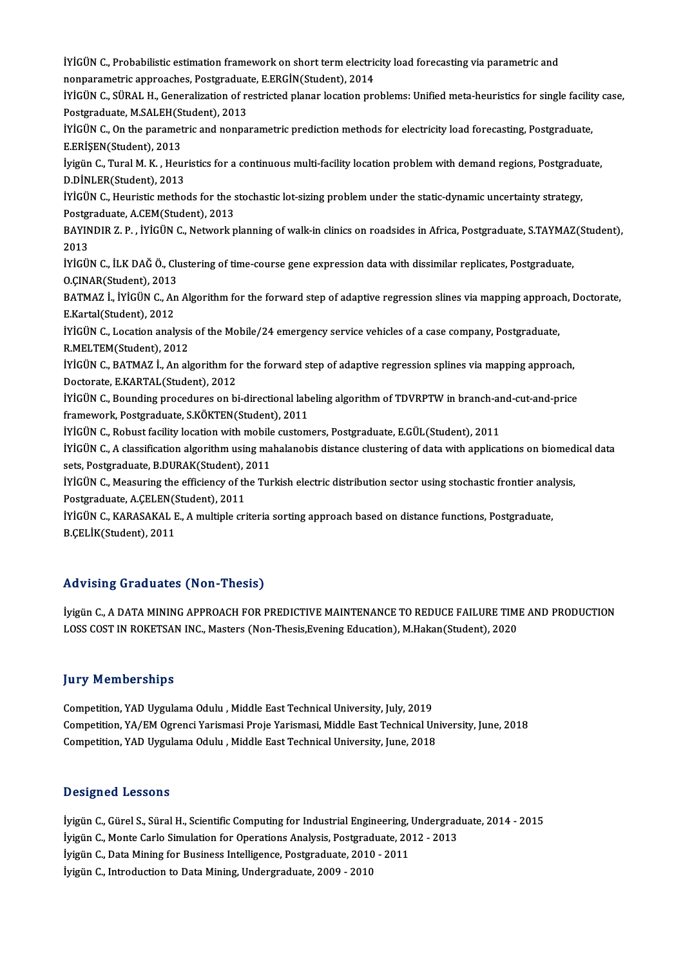iYİGÜN C., Probabilistic estimation framework on short term electricity load forecasting via parametric and<br>nonparametris approaches, Bestereduate, E EBCİN(Student), 2014 iYİGÜN C., Probabilistic estimation framework on short term electric<br>nonparametric approaches, Postgraduate, E.ERGİN(Student), 2014<br>ivicün c. sünal H. Coneralization of restricted planer lesstien pre İYİGÜN C., Probabilistic estimation framework on short term electricity load forecasting via parametric and<br>nonparametric approaches, Postgraduate, E.ERGİN(Student), 2014<br>İYİGÜN C., SÜRAL H., Generalization of restricted p nonparametric approaches, Postgraduate, E.ERGİN(Student), 2014<br>IYİGÜN C., SÜRAL H., Generalization of restricted planar location problems: Unified meta-heuristics for single facilit<br>Postgraduate, M.SALEH(Student), 2013<br>IYİ İYİGÜN C., SÜRAL H., Generalization of restricted planar location problems: Unified meta-heuristics for single facilit<br>Postgraduate, M.SALEH(Student), 2013<br>İYİGÜN C., On the parametric and nonparametric prediction methods Postgraduate, M.SALEH(Student), 2013<br>İYİGÜN C., On the parametric and nonpa<br>E.ERİŞEN(Student), 2013 İYİGÜN C., On the parametric and nonparametric prediction methods for electricity load forecasting, Postgraduate,<br>E.ERİŞEN(Student), 2013<br>İyigün C., Tural M. K. , Heuristics for a continuous multi-facility location problem E.ERİŞEN(Student), 2013<br>İyigün C., Tural M. K. , Heur<br>D.DİNLER(Student), 2013<br>İVİCÜN C. Houristis matho İyigün C., Tural M. K. , Heuristics for a continuous multi-facility location problem with demand regions, Postgradu<br>D.DİNLER(Student), 2013<br>İYİGÜN C., Heuristic methods for the stochastic lot-sizing problem under the stati **D.DINLER(Student), 2013<br>IYIGÜN C., Heuristic methods for the s<br>Postgraduate, A.CEM(Student), 2013<br>PAYINDIP 7-P., IVICÜN C. Network p** İYİGÜN C., Heuristic methods for the stochastic lot-sizing problem under the static-dynamic uncertainty strategy,<br>Postgraduate, A.CEM(Student), 2013<br>BAYINDIR Z. P. , İYİGÜN C., Network planning of walk-in clinics on roadsi Postgraduate, A.CEM(Student), 2013<br>BAYINDIR Z. P. , İYİGÜN C., Network planning of walk-in clinics on roadsides in Africa, Postgraduate, S.TAYMAZ<br>2013<br>İYİGÜN C., İLK DAĞ Ö., Clustering of time-course gene expression data w BAYINDIR Z. P., İYİGÜN C., Network planning of walk-in clinics on roadsides in Africa, Postgraduate, S.TAYMAZ(Student), O.ÇINAR(Student),2013 iYiGÜN C., İLK DAĞ Ö., Clustering of time-course gene expression data with dissimilar replicates, Postgraduate,<br>O.ÇINAR(Student), 2013<br>BATMAZ İ., İYİGÜN C., An Algorithm for the forward step of adaptive regression slines v O.ÇINAR(Student), 2013<br>BATMAZ İ., İYİGÜN C., An<br>E.Kartal(Student), 2012<br>İVİCÜN C. Lesstian analı BATMAZ İ., İYİGÜN C., An Algorithm for the forward step of adaptive regression slines via mapping approac<br>E.Kartal(Student), 2012<br>İYİGÜN C., Location analysis of the Mobile/24 emergency service vehicles of a case company, E.Kartal(Student), 2012<br>İYİGÜN C., Location analysis of the Mobile/24 emergency service vehicles of a case company, Postgraduate,<br>R.MELTEM(Student), 2012 İYİGÜN C., Location analysis of the Mobile/24 emergency service vehicles of a case company, Postgraduate,<br>R.MELTEM(Student), 2012<br>İYİGÜN C., BATMAZ İ., An algorithm for the forward step of adaptive regression splines via m R.MELTEM(Student), 2012<br>İYİGÜN C., BATMAZ İ., An algorithm fo<br>Doctorate, E.KARTAL(Student), 2012<br>İVİÇÜN C. Bounding procedures an bi İYİGÜN C., BATMAZ İ., An algorithm for the forward step of adaptive regression splines via mapping approach,<br>Doctorate, E.KARTAL(Student), 2012<br>İYİGÜN C., Bounding procedures on bi-directional labeling algorithm of TDVRPTW Doctorate, E.KARTAL(Student), 2012<br>İYİGÜN C., Bounding procedures on bi-directional labeling algorithm of TDVRPTW in branch-and-cut-and-price<br>framework, Postgraduate, S.KÖKTEN(Student), 2011 IYİGÜN C., Bounding procedures on bi-directional labeling algorithm of TDVRPTW in branch-ar<br>framework, Postgraduate, S.KÖKTEN(Student), 2011<br>IYİGÜN C., Robust facility location with mobile customers, Postgraduate, E.GÜL(St IYIGÜN C., A classification algorithmusing mahalanobis distance clustering of data with applications on biomedical data<br>sets, Postgraduate, B.DURAK(Student), 2011 iYiGÜN C., Robust facility location with mobile<br>iYiGÜN C., A classification algorithm using ma<br>sets, Postgraduate, B.DURAK(Student), 2011<br>iViCÜN C. Measuring the efficiency of the Tur İYİGÜN C., A classification algorithm using mahalanobis distance clustering of data with applications on biomed<br>sets, Postgraduate, B.DURAK(Student), 2011<br>İYİGÜN C., Measuring the efficiency of the Turkish electric distrib sets, Postgraduate, B.DURAK(Student), 2<br>IYIGÜN C., Measuring the efficiency of th<br>Postgraduate, A.ÇELEN(Student), 2011<br>IVICÜN C. KARASAKAL E. A multiple eri İYİGÜN C., Measuring the efficiency of the Turkish electric distribution sector using stochastic frontier anal<br>Postgraduate, A.ÇELEN(Student), 2011<br>İYİGÜN C., KARASAKAL E., A multiple criteria sorting approach based on dis Postgraduate, A.ÇELEN(Student), 2011<br>İYİGÜN C., KARASAKAL E., A multiple criteria sorting approach based on distance functions, Postgraduate,<br>B.ÇELİK(Student), 2011

### Advising Graduates (Non-Thesis)

İyigün C., A DATA MINING APPROACH FOR PREDICTIVE MAINTENANCE TO REDUCE FAILURE TIME AND PRODUCTION LOSS COST IN ROKETSAN INC., Masters (Non-Thesis,Evening Education), M.Hakan(Student), 2020

### **Jury Memberships**

**Jury Memberships<br>Competition, YAD Uygulama Odulu , Middle East Technical University, July, 2019<br>Competition, YA (EM Ogransi Varismesi Proje Varismesi, Middle East Technical Ul** Competition, YA/EM Ogrenci Yarismasi Proje Yarismasi, Middle East Technical University, June, 2018<br>Competition, YAD Uygulama Odulu , Middle East Technical University, June, 2018 Competition, YAD Uygulama Odulu , Middle East Technical University, July, 2019<br>Competition, YA/EM Ogrenci Yarismasi Proje Yarismasi, Middle East Technical Un<br>Competition, YAD Uygulama Odulu , Middle East Technical Universi

#### Designed Lessons

**Designed Lessons<br>İyigün C., Gürel S., Süral H., Scientific Computing for Industrial Engineering, Undergraduate, 2014 - 2015<br>İyigün C. Manta Carla Simulation for Operations Analysis, Bestanduate, 2012, 2012** D'esigned Eessons<br>İyigün C., Gürel S., Süral H., Scientific Computing for Industrial Engineering, Undergrad<br>İyigün C., Monte Carlo Simulation for Operations Analysis, Postgraduate, 2012 - 2013<br>İyigün C., Dete Mining for Bu İyigün C., Gürel S., Süral H., Scientific Computing for Industrial Engineering,<br>İyigün C., Monte Carlo Simulation for Operations Analysis, Postgraduate, 20<br>İyigün C., Data Mining for Business Intelligence, Postgraduate, 20 İyigün C., Monte Carlo Simulation for Operations Analysis, Postgraduate, 2012 - 2013<br>İyigün C., Data Mining for Business Intelligence, Postgraduate, 2010 - 2011<br>İyigün C., Introduction to Data Mining, Undergraduate, 2009 -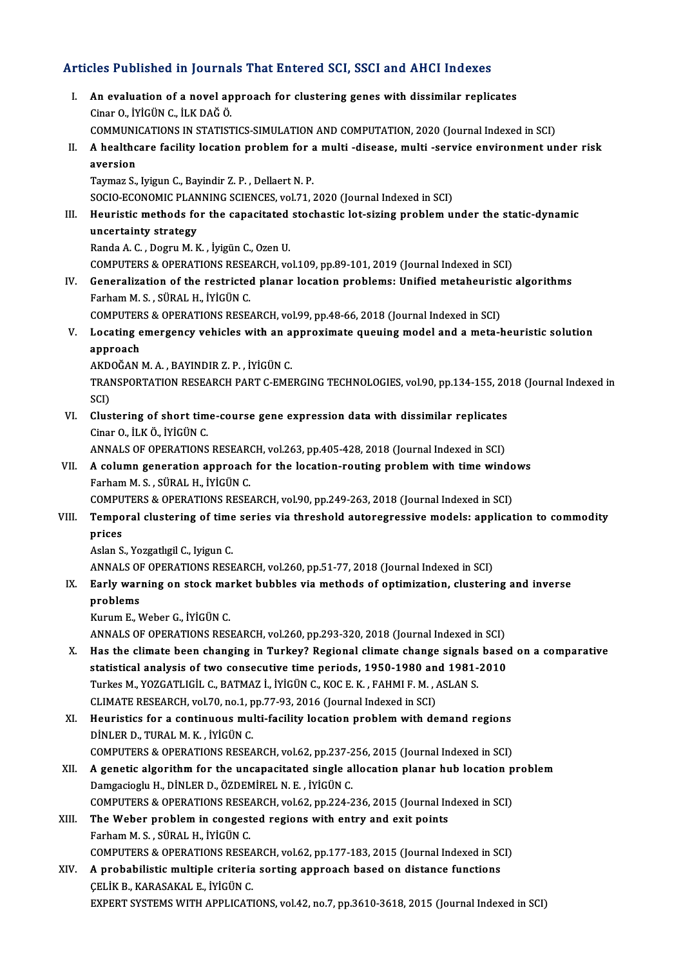# Articles Published in Journals That Entered SCI, SSCI and AHCI Indexes

- rticles Published in Journals That Entered SCI, SSCI and AHCI Indexes<br>I. An evaluation of a novel approach for clustering genes with dissimilar replicates<br>Ciner Q ivicing c it K DAČ Ö I. An evaluation of a novel approach for clustering genes with dissimilar replicates Cinar O., İYİGÜN C., İLK DAĞÖ. An evaluation of a novel approach for clustering genes with dissimilar replicates<br>Cinar O., İYİGÜN C., İLK DAĞ Ö.<br>COMMUNICATIONS IN STATISTICS-SIMULATION AND COMPUTATION, 2020 (Journal Indexed in SCI)<br>A healtheane feellity II. A healthcare facility location problem for a multi -disease, multi -service environment under risk aversion COMMUNI<br>A healthc<br>aversion<br>Toumon S Taymaz S., Iyigun C., Bayindir Z. P., Dellaert N. P. SOCIO-ECONOMIC PLANNING SCIENCES, vol.71, 2020 (Journal Indexed in SCI) Taymaz S., Iyigun C., Bayindir Z. P. , Dellaert N. P.<br>SOCIO-ECONOMIC PLANNING SCIENCES, vol.71, 2020 (Journal Indexed in SCI)<br>III. Heuristic methods for the capacitated stochastic lot-sizing problem under the static-dynami SOCIO-ECONOMIC PLAN<br>Heuristic methods fo<br>uncertainty strategy<br>Banda A.C. Degru M.K Heuristic methods for the capacitated<br>uncertainty strategy<br>Randa A. C. , Dogru M. K. , İyigün C., Ozen U.<br>COMPUTERS & ORERATIONS RESEARCH VO uncertainty strategy<br>Randa A. C. , Dogru M. K. , İyigün C., Ozen U.<br>COMPUTERS & OPERATIONS RESEARCH, vol.109, pp.89-101, 2019 (Journal Indexed in SCI)<br>Conoralization of the restricted planar location problems: Unified meta Randa A. C. , Dogru M. K. , İyigün C., Ozen U.<br>COMPUTERS & OPERATIONS RESEARCH, vol.109, pp.89-101, 2019 (Journal Indexed in SCI)<br>IV. Generalization of the restricted planar location problems: Unified metaheuristic algorit COMPUTERS & OPERATIONS RESEL<br>Generalization of the restricted<br>Farham M.S., SÜRAL H., İYİGÜN C.<br>COMPUTERS & OPERATIONS RESE. Generalization of the restricted planar location problems: Unified metaheurist<br>Farham M. S., SÜRAL H., İYİGÜN C.<br>COMPUTERS & OPERATIONS RESEARCH, vol.99, pp.48-66, 2018 (Journal Indexed in SCI)<br>Locating emergency vobisles Farham M. S. , SÜRAL H., İYİGÜN C.<br>COMPUTERS & OPERATIONS RESEARCH, vol.99, pp.48-66, 2018 (Journal Indexed in SCI)<br>V. Locating emergency vehicles with an approximate queuing model and a meta-heuristic solution<br>annraac COMPUTER<br>Locating e<br>approach<br>AKDOČAN Locating emergency vehicles with an a<br>approach<br>AKDOĞAN M. A. , BAYINDIR Z. P. , İYİGÜN C.<br>TRANSPOPTATION PESEARCH BART C EME approach<br>AKDOĞAN M. A. , BAYINDIR Z. P. , İYİGÜN C.<br>TRANSPORTATION RESEARCH PART C-EMERGING TECHNOLOGIES, vol.90, pp.134-155, 2018 (Journal Indexed in<br>SCD AKD<br>TRAI<br>SCI)<br>Clus TRANSPORTATION RESEARCH PART C-EMERGING TECHNOLOGIES, vol.90, pp.134-155, 20<br>SCI)<br>VI. Clustering of short time-course gene expression data with dissimilar replicates<br>Ginar Q, It K Ö, Ivicijn C SCI)<br>VI. Clustering of short time-course gene expression data with dissimilar replicates<br>Cinar O., İLKÖ., İYİGÜNC. Clustering of short time-course gene expression data with dissimilar replicates<br>Cinar O., İLK Ö., İYİGÜN C.<br>ANNALS OF OPERATIONS RESEARCH, vol.263, pp.405-428, 2018 (Journal Indexed in SCI)<br>A selumn seneration ennueseb for Cinar O., İLK Ö., İYİGÜN C.<br>ANNALS OF OPERATIONS RESEARCH, vol.263, pp.405-428, 2018 (Journal Indexed in SCI)<br>VII. A column generation approach for the location-routing problem with time windows<br>Earbam M S SÜRAL H ANNALS OF OPERATIONS RESEAR<br>A column generation approach<br>Farham M. S. , SÜRAL H., İYİGÜN C.<br>COMBUTERS & OPERATIONS RESE A column generation approach for the location-routing problem with time windo<br>Farham M. S. , SÜRAL H., İYİGÜN C.<br>COMPUTERS & OPERATIONS RESEARCH, vol.90, pp.249-263, 2018 (Journal Indexed in SCI)<br>Temneral slugtening of tim Farham M. S. , SÜRAL H., İYİGÜN C.<br>COMPUTERS & OPERATIONS RESEARCH, vol.90, pp.249-263, 2018 (Journal Indexed in SCI)<br>VIII. Temporal clustering of time series via threshold autoregressive models: application to commodi COMPU<br>Tempo<br>prices<br>Aslan S **Temporal clustering of time<br>prices<br>Aslan S., Yozgatlıgil C., Iyigun C.<br>ANNALS OF OPERATIONS PESE** prices<br>Aslan S., Yozgatlıgil C., Iyigun C.<br>ANNALS OF OPERATIONS RESEARCH, vol.260, pp.51-77, 2018 (Journal Indexed in SCI)<br>Farly warning on stask market bubbles via mathods of ontimization, slusterii Aslan S., Yozgatlıgil C., Iyigun C.<br>ANNALS OF OPERATIONS RESEARCH, vol.260, pp.51-77, 2018 (Journal Indexed in SCI)<br>IX. Early warning on stock market bubbles via methods of optimization, clustering and inverse ANNALS OF<br>Early war:<br>problems<br><sup>Kurum E</sup> b Early warning on stock ma<br>problems<br>Kurum E., Weber G., İYİGÜN C.<br>ANNALS OF OPERATIONS PES problems<br>Kurum E., Weber G., İYİGÜN C.<br>ANNALS OF OPERATIONS RESEARCH, vol.260, pp.293-320, 2018 (Journal Indexed in SCI) Kurum E., Weber G., İYİGÜN C.<br>ANNALS OF OPERATIONS RESEARCH, vol.260, pp.293-320, 2018 (Journal Indexed in SCI)<br>X. Has the climate been changing in Turkey? Regional climate change signals based on a comparative<br>statistical STATIST ANNALS OF OPERATIONS RESEARCH, vol.260, pp.293-320, 2018 (Journal Indexed in SCI)<br>
Has the climate been changing in Turkey? Regional climate change signals based<br>
statistical analysis of two consecutive time period Has the climate been changing in Turkey? Regional climate change signals<br>statistical analysis of two consecutive time periods, 1950-1980 and 1981-<br>Turkes M., YOZGATLIGİL C., BATMAZ İ., İYİGÜN C., KOC E. K. , FAHMI F. M. , statistical analysis of two consecutive time periods, 1950-1980 an<br>Turkes M., YOZGATLIGİL C., BATMAZ İ., İYİGÜN C., KOC E. K. , FAHMI F. M. , A<br>CLIMATE RESEARCH, vol.70, no.1, pp.77-93, 2016 (Journal Indexed in SCI)<br>Houris Turkes M., YOZGATLIGİL C., BATMAZ İ., İYİGÜN C., KOC E. K. , FAHMI F. M. , ASLAN S.<br>CLIMATE RESEARCH, vol.70, no.1, pp.77-93, 2016 (Journal Indexed in SCI)<br>XI. Heuristics for a continuous multi-facility location problem wi CLIMATE RESEARCH, vol.70, no.1, p<br>Heuristics for a continuous mu<br>DİNLER D., TURAL M. K. , İYİGÜN C.<br>COMBUTERS & OPERATIONS RESEA Heuristics for a continuous multi-facility location problem with demand regions<br>DINLER D., TURAL M. K., IYIGÜN C.<br>COMPUTERS & OPERATIONS RESEARCH, vol.62, pp.237-256, 2015 (Journal Indexed in SCI) DINLER D., TURAL M. K., IYIGÜN C.<br>COMPUTERS & OPERATIONS RESEARCH, vol.62, pp.237-256, 2015 (Journal Indexed in SCI)<br>XII. A genetic algorithm for the uncapacitated single allocation planar hub location problem<br>Damgacioglu COMPUTERS & OPERATIONS RESEARCH, vol.62, pp.237-2<br>A genetic algorithm for the uncapacitated single al<br>Damgacioglu H., DİNLER D., ÖZDEMİREL N. E., İYİGÜN C.<br>COMPUTERS & ORERATIONS RESEARCH, vol.62, pp.224-2 A genetic algorithm for the uncapacitated single allocation planar hub location p<br>Damgacioglu H., DİNLER D., ÖZDEMİREL N. E. , İYİGÜN C.<br>COMPUTERS & OPERATIONS RESEARCH, vol.62, pp.224-236, 2015 (Journal Indexed in SCI)<br>Th
- XIII. The Weber problem in congested regions with entry and exit points<br>Farham M. S., SÜRAL H., İYİGÜN C. COMPUTERS & OPERATIONS RESE<br>The Weber problem in congest<br>Farham M. S. , SÜRAL H., İYİGÜN C.<br>COMPUTERS & OPERATIONS RESE. The Weber problem in congested regions with entry and exit points<br>Farham M. S., SÜRAL H., İYİGÜN C.<br>COMPUTERS & OPERATIONS RESEARCH, vol.62, pp.177-183, 2015 (Journal Indexed in SCI)<br>A probabilistic multiple criteria sorti Farham M. S., SÜRAL H., İYİGÜN C.<br>COMPUTERS & OPERATIONS RESEARCH, vol.62, pp.177-183, 2015 (Journal Indexed in SC<br>XIV. A probabilistic multiple criteria sorting approach based on distance functions<br>CELIV B. KARASAKAL E. İ
- COMPUTERS & OPERATIONS RESEA<br>A probabilistic multiple criteria<br>ÇELİK B., KARASAKAL E., İYİGÜN C.<br>EYPERT SYSTEMS WITH APPLICATI A probabilistic multiple criteria sorting approach based on distance functions<br>CELIK B., KARASAKAL E., IYIGÜN C.<br>EXPERT SYSTEMS WITH APPLICATIONS, vol.42, no.7, pp.3610-3618, 2015 (Journal Indexed in SCI)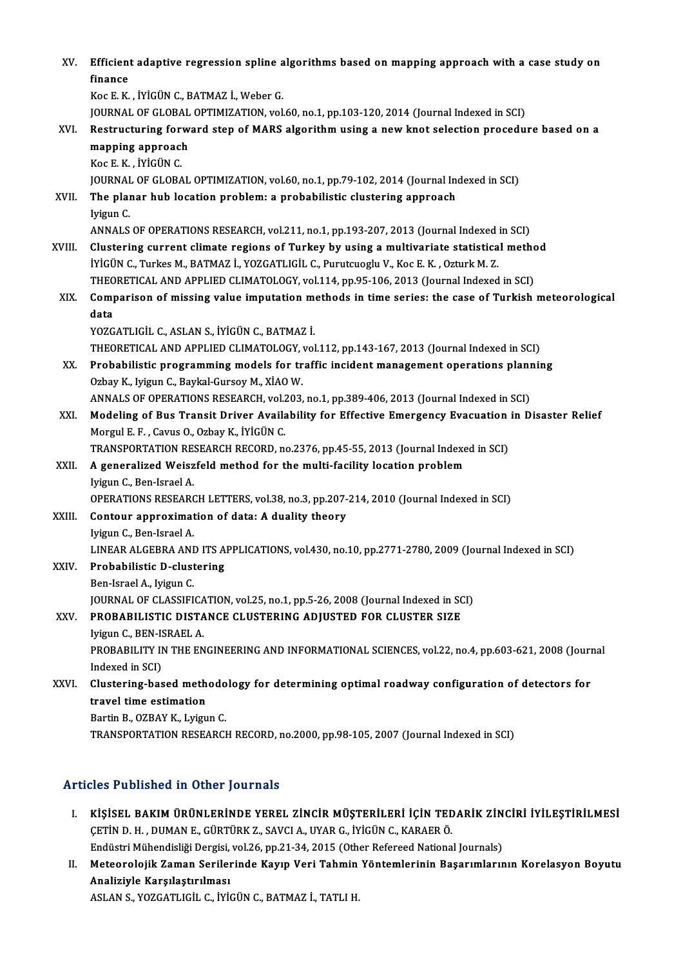| XV.<br>XVI. | Efficient adaptive regression spline algorithms based on mapping approach with a case study on                                                   |
|-------------|--------------------------------------------------------------------------------------------------------------------------------------------------|
|             | finance                                                                                                                                          |
|             | Koc E. K., İYİGÜN C., BATMAZ İ., Weber G.                                                                                                        |
|             | JOURNAL OF GLOBAL OPTIMIZATION, vol.60, no.1, pp.103-120, 2014 (Journal Indexed in SCI)                                                          |
|             | Restructuring forward step of MARS algorithm using a new knot selection procedure based on a<br>mapping approach<br>Koc E K, İYİGÜN C.           |
|             | JOURNAL OF GLOBAL OPTIMIZATION, vol.60, no.1, pp.79-102, 2014 (Journal Indexed in SCI)                                                           |
| XVII.       | The planar hub location problem: a probabilistic clustering approach                                                                             |
|             | Iyigun C.                                                                                                                                        |
|             | ANNALS OF OPERATIONS RESEARCH, vol.211, no.1, pp.193-207, 2013 (Journal Indexed in SCI)                                                          |
| XVIII.      | Clustering current climate regions of Turkey by using a multivariate statistical method                                                          |
|             | İYİGÜN C., Turkes M., BATMAZ İ., YOZGATLIGİL C., Purutcuoglu V., Koc E. K., Ozturk M. Z.                                                         |
|             | THEORETICAL AND APPLIED CLIMATOLOGY, vol.114, pp.95-106, 2013 (Journal Indexed in SCI)                                                           |
| XIX.        | Comparison of missing value imputation methods in time series: the case of Turkish meteorological                                                |
|             | data                                                                                                                                             |
|             | YOZGATLIGİL C., ASLAN S., İYİGÜN C., BATMAZ İ.                                                                                                   |
|             | THEORETICAL AND APPLIED CLIMATOLOGY, vol.112, pp.143-167, 2013 (Journal Indexed in SCI)                                                          |
| XX.         | Probabilistic programming models for traffic incident management operations planning                                                             |
|             | Ozbay K., Iyigun C., Baykal-Gursoy M., XIAO W.                                                                                                   |
|             | ANNALS OF OPERATIONS RESEARCH, vol.203, no.1, pp.389-406, 2013 (Journal Indexed in SCI)                                                          |
| XXI.        | Modeling of Bus Transit Driver Availability for Effective Emergency Evacuation in Disaster Relief<br>Morgul E. F., Cavus O., Ozbay K., İYİGÜN C. |
|             | TRANSPORTATION RESEARCH RECORD, no.2376, pp.45-55, 2013 (Journal Indexed in SCI)                                                                 |
| XXII.       | A generalized Weiszfeld method for the multi-facility location problem                                                                           |
|             | Iyigun C., Ben-Israel A.                                                                                                                         |
|             | OPERATIONS RESEARCH LETTERS, vol.38, no.3, pp.207-214, 2010 (Journal Indexed in SCI)                                                             |
| XXIII.      | Contour approximation of data: A duality theory                                                                                                  |
|             | Iyigun C., Ben-Israel A.                                                                                                                         |
|             | LINEAR ALGEBRA AND ITS APPLICATIONS, vol.430, no.10, pp.2771-2780, 2009 (Journal Indexed in SCI)                                                 |
| XXIV.       | Probabilistic D-clustering                                                                                                                       |
|             | Ben-Israel A., Iyigun C.                                                                                                                         |
|             | JOURNAL OF CLASSIFICATION, vol.25, no.1, pp.5-26, 2008 (Journal Indexed in SCI)                                                                  |
| XXV.        | PROBABILISTIC DISTANCE CLUSTERING ADJUSTED FOR CLUSTER SIZE                                                                                      |
|             | Iyigun C., BEN-ISRAEL A.                                                                                                                         |
|             | PROBABILITY IN THE ENGINEERING AND INFORMATIONAL SCIENCES, vol.22, no.4, pp.603-621, 2008 (Journal                                               |
|             | Indexed in SCI)                                                                                                                                  |
| XXVI.       | Clustering-based methodology for determining optimal roadway configuration of detectors for<br>travel time estimation                            |
|             | Bartin B., OZBAY K., Lyigun C.                                                                                                                   |
|             | TRANSPORTATION RESEARCH RECORD, no.2000, pp.98-105, 2007 (Journal Indexed in SCI)                                                                |
|             |                                                                                                                                                  |

### Articles Published in Other Journals

- I. KİŞİSEL BAKIM ÜRÜNLERİNDE YEREL ZİNCİR MÜŞTERİLERİ İÇİN TEDARİK ZİNCİRİ İYİLEŞTİRİLMESİ<br>L. KİŞİSEL BAKIM ÜRÜNLERİNDE YEREL ZİNCİR MÜŞTERİLERİ İÇİN TEDARİK ZİNCİRİ İYİLEŞTİRİLMESI SICS I GÖNÜNCÜ IN CENCI JOUI HUND.<br>KİŞİSEL BAKIM ÜRÜNLERİNDE YEREL ZİNCİR MÜŞTERİLERİ İÇİN TEL<br>ÇETİN D. H. , DUMAN E., GÜRTÜRK Z., SAVCI A., UYAR G., İYİGÜN C., KARAER Ö.<br>Endüstri Mühandisliği Darsisi vel 26-nn 21-24-2015 KİŞİSEL BAKIM ÜRÜNLERİNDE YEREL ZİNCİR MÜŞTERİLERİ İÇİN TEDARİK ZİN<br>ÇETİN D. H. , DUMAN E., GÜRTÜRK Z., SAVCI A., UYAR G., İYİGÜN C., KARAER Ö.<br>Endüstri Mühendisliği Dergisi, vol.26, pp.21-34, 2015 (Other Refereed National CETİN D. H. , DUMAN E., GÜRTÜRK Z., SAVCI A., UYAR G., İYİGÜN C., KARAER Ö.<br>I. Meteorolojik Zaman Serilerinde Kayıp Veri Tahmin Yöntemlerinin Başarımlarının Korelasyon Boyutu<br>Analiziyle Karalastırılması
- Endüstri Mühendisliği Dergisi,<br>Meteorolojik Zaman Serileı<br>Analiziyle Karşılaştırılması<br>ASLAN S. VOZCATUCÜ C. İVİ Meteorolojik Zaman Serilerinde Kayıp Veri Tahmin<br>Analiziyle Karşılaştırılması<br>ASLAN S., YOZGATLIGİL C., İYİGÜN C., BATMAZ İ., TATLI H.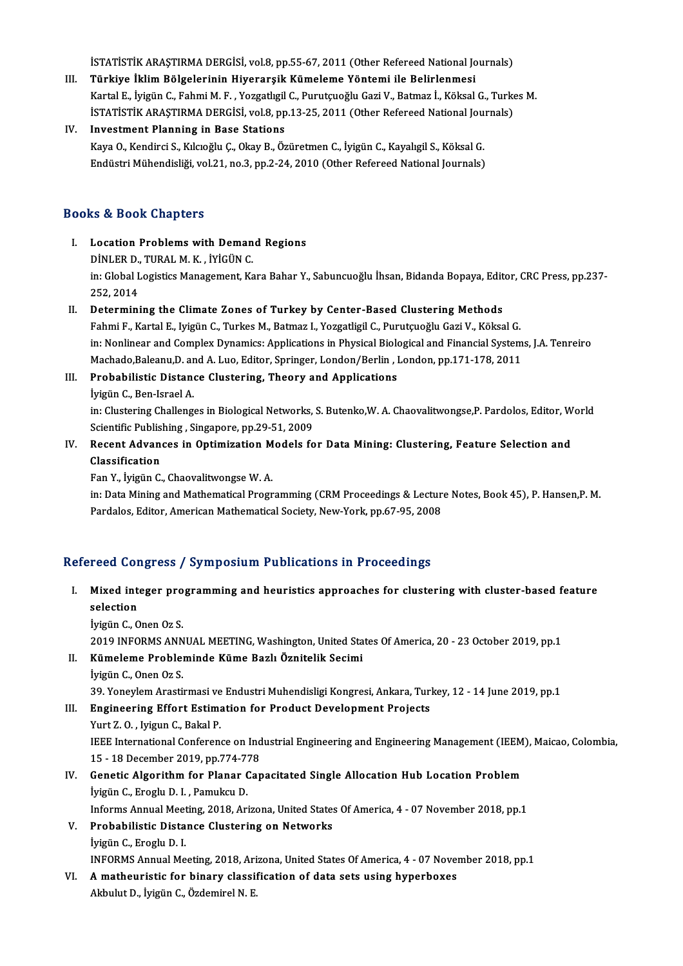İSTATİSTİK ARAŞTIRMA DERGİSİ, vol.8, pp.55-67, 2011 (Other Refereed National Journals)<br>Türkiye İklim Bölgelerinin Hiverergik Kümeleme Vöntemi ile Belirlenmesi

- III. Türkiye İklim Bölgelerinin Hiyerarşik Kümeleme Yöntemi ile Belirlenmesi İSTATİSTİK ARAŞTIRMA DERGİSİ, vol.8, pp.55-67, 2011 (Other Refereed National Journals)<br>Türkiye İklim Bölgelerinin Hiyerarşik Kümeleme Yöntemi ile Belirlenmesi<br>Kartal E., İyigün C., Fahmi M. F. , Yozgatlıgil C., Purutçuoğlu Kartal E., İyigün C., Fahmi M. F., Yozgatlıgil C., Purutçuoğlu Gazi V., Batmaz İ., Köksal G., Turkes M. İSTATİSTİK ARAŞTIRMA DERGİSİ, vol.8, pp.13-25, 2011 (Other Refereed National Journals)
- IV. Investment Planning in Base Stations Endüstri Mühendisliği, vol.21, no.3, pp.2-24, 2010 (Other Refereed National Journals)

### Books&Book Chapters

- OOks & Book Chapters<br>I. Location Problems with Demand Regions<br>DINLER D. TURAL M.K. WICUN.C. Le Chronic Chapters<br>
Dinler D., Tural M. K., İYİGÜNC.<br>
in: Clabel Legistics Management Ke in: Global Logistics Management, Kara Bahar Y., Sabuncuoğlu İhsan, Bidanda Bopaya, Editor, CRC Press, pp.237-252, 2014 DİNLER D., TURAL M. K., İYİGÜN C.
- II. Determining the Climate Zones of Turkey by Center-Based Clustering Methods Fahmi F., Kartal E., Iyigün C., Turkes M., Batmaz I., Yozgatligil C., Purutçuoğlu Gazi V., Köksal G. Determining the Climate Zones of Turkey by Center-Based Clustering Methods<br>Fahmi F., Kartal E., Iyigün C., Turkes M., Batmaz I., Yozgatligil C., Purutçuoğlu Gazi V., Köksal G.<br>in: Nonlinear and Complex Dynamics: Applicatio Fahmi F., Kartal E., Iyigün C., Turkes M., Batmaz I., Yozgatligil C., Purutçuoğlu Gazi V., Köksal G.<br>in: Nonlinear and Complex Dynamics: Applications in Physical Biological and Financial System<br>Machado,Baleanu,D. and A. Lu in: Nonlinear and Complex Dynamics: Applications in Physical Biolon<br>Machado,Baleanu,D. and A. Luo, Editor, Springer, London/Berlin, I<br>III. Probabilistic Distance Clustering, Theory and Applications<br>Ivigin G. Bon Israel A.

### Machado,Baleanu,D. ar<br><mark>Probabilistic Distan</mark><br>İyigün C., Ben-Israel A.<br>in: Clustering Challong. Probabilistic Distance Clustering, Theory and Applications<br>İyigün C., Ben-Israel A.<br>in: Clustering Challenges in Biological Networks, S. Butenko,W. A. Chaovalitwongse,P. Pardolos, Editor, World<br>Scientific Publishing, Singa İyigün C., Ben-Israel A.<br>in: Clustering Challenges in Biological Networks,<br>Scientific Publishing , Singapore, pp.29-51, 2009<br>Besent Advances in Ontimization Models fo

in: Clustering Challenges in Biological Networks, S. Butenko,W. A. Chaovalitwongse,P. Pardolos, Editor, W<br>Scientific Publishing, Singapore, pp.29-51, 2009<br>IV. Recent Advances in Optimization Models for Data Mining: Cluster Scientific Publis<br>Recent Advan<br>Classification<br>Fon Ya İvigün C Classification<br>Fan Y., İyigün C., Chaovalitwongse W. A.

Classification<br>Fan Y., İyigün C., Chaovalitwongse W. A.<br>in: Data Mining and Mathematical Programming (CRM Proceedings & Lecture Notes, Book 45), P. Hansen,P. M.<br>Pardales, Editor, American Mathematical Society, New York, pp Fan Y., İyigün C., Chaovalitwongse W. A.<br>in: Data Mining and Mathematical Programming (CRM Proceedings & Lectur<br>Pardalos, Editor, American Mathematical Society, New-York, pp.67-95, 2008

# Pardalos, Editor, American Mathematical Society, New-York, pp.67-95, 2008<br>Refereed Congress / Symposium Publications in Proceedings

efereed Congress / Symposium Publications in Proceedings<br>I. Mixed integer programming and heuristics approaches for clustering with cluster-based feature<br>celestion need een<br>Mixed interfection<br>brigin 6 0 Mixed integer pro<br>selection<br>İyigün C., Onen Oz S.<br>2019 INFORMS ANN selection<br>İyigün C., Onen Oz S.<br>2019 INFORMS ANNUAL MEETING, Washington, United States Of America, 20 - 23 October 2019, pp.1

## İyigün C., Onen Oz S.<br>2019 INFORMS ANNUAL MEETING, Washington, United Sta<br>II. Kümeleme Probleminde Küme Bazlı Öznitelik Secimi<br>İyigün C. Onen Oz S. 2019 INFORMS ANN<br>**Kümeleme Proble**r<br>İyigün C., Onen Oz S.<br><sup>20. Vonevlem Aresti</sup>

İyigün C., Onen Oz S.<br>39. Yoneylem Arastirmasi ve Endustri Muhendisligi Kongresi, Ankara, Turkey, 12 - 14 June 2019, pp.1 39. Yoneylem Arastirmasi ve<br>Engineering Effort Estima<br>Yurt Z. O. , Iyigun C., Bakal P.<br><sup>IEEE</sup> International Conferen

## İyigün C., Onen Oz S.<br>39. Yoneylem Arastirmasi ve Endustri Muhendisligi Kongresi, Ankara, Turl<br>III. Engineering Effort Estimation for Product Development Projects<br>Vurt 7. O. Jijgun C. Bakal B.

Engineering Effort Estimation for Product Development Projects<br>Yurt Z. O. , Iyigun C., Bakal P.<br>IEEE International Conference on Industrial Engineering and Engineering Management (IEEM), Maicao, Colombia,<br>15 . 18 Desember Yurt Z. O. , Iyigun C., Bakal P.<br>IEEE International Conference on Ind<br>15 - 18 December 2019, pp.774-778<br>Constis Alsonithm for Planer Can 15 - 18 December 2019, pp 774-778

IV. Genetic Algorithm for Planar Capacitated Single Allocation Hub Location Problem lyigün C., Eroglu D. I., Pamukcu D. Genetic Algorithm for Planar Capacitated Single Allocation Hub Location Problem<br>İyigün C., Eroglu D. I. , Pamukcu D.<br>Informs Annual Meeting, 2018, Arizona, United States Of America, 4 - 07 November 2018, pp.1<br>Probobilistis

- V. Probabilistic Distance Clustering on Networks Informs Annual Meet<br><mark>Probabilistic Dista</mark><br>İyigün C., Eroglu D. I.<br>INFORMS Annual Me Probabilistic Distance Clustering on Networks<br>İyigün C., Eroglu D. I.<br>INFORMS Annual Meeting, 2018, Arizona, United States Of America, 4 - 07 November 2018, pp.1<br>A mathewristic for binewy closeification of data sets using
- İyigün C., Eroglu D. I.<br>INFORMS Annual Meeting, 2018, Arizona, United States Of America, 4 07 Nover<br>VI. Amatheuristic for binary classification of data sets using hyperboxes INFORMS Annual Meeting, 2018, Ari<br><mark>A matheuristic for binary classi</mark>!<br>Akbulut D., İyigün C., Özdemirel N. E.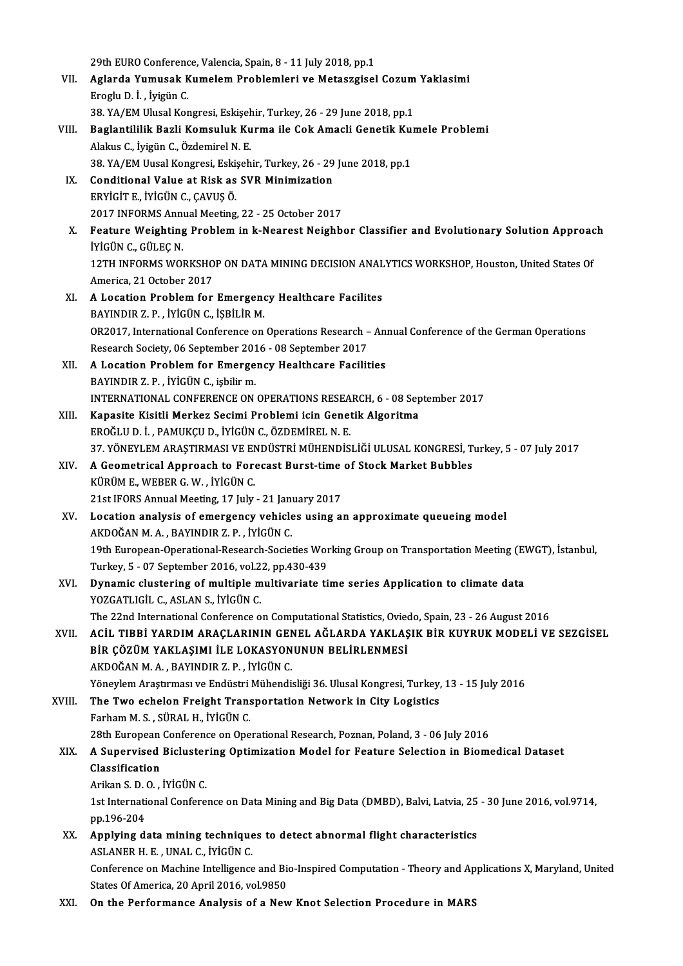29th EURO Conference, Valencia, Spain, 8 - 11 July 2018, pp.1<br>Azlanda Yumusak Kumalam Problemlari ve Meteorgiael

- 29th EURO Conference, Valencia, Spain, 8 11 July 2018, pp.1<br>VII. Aglarda Yumusak Kumelem Problemleri ve Metaszgisel Cozum Yaklasimi 29th EURO Conference<br>**Aglarda Yumusak K**<br>Eroglu D. İ. , İyigün C.<br>29. YA (EM Hlugal Kon Aglarda Yumusak Kumelem Problemleri ve Metaszgisel Cozum<br>Eroglu D. İ. , İyigün C.<br>38. YA/EM Ulusal Kongresi, Eskişehir, Turkey, 26 - 29 June 2018, pp.1<br>Baglantililik Bagli Komauluk Kunma ile Cak Amagli Conetik Kun Eroglu D. İ. , İyigün C.<br>38. YA/EM Ulusal Kongresi, Eskişehir, Turkey, 26 - 29 June 2018, pp.1<br>VIII. Baglantililik Bazli Komsuluk Kurma ile Cok Amacli Genetik Kumele Problemi<br>Alakus C. İyigün C. Özdemirel N. E
- 38. YA/EM Ulusal Kongresi, Eskişehir, Turkey, 26 29 June 2018, pp.1<br>Baglantililik Bazli Komsuluk Kurma ile Cok Amacli Genetik Kur<br>Alakus C., İyigün C., Özdemirel N. E. Baglantililik Bazli Komsuluk Kurma ile Cok Amacli Genetik Ku:<br>Alakus C., İyigün C., Özdemirel N. E.<br>38. YA/EM Uusal Kongresi, Eskişehir, Turkey, 26 - 29 June 2018, pp.1<br>Conditional Value at Bisk as SVP Minimization 38. YA/EM Uusal Kongresi, Eskişehir, Turkey, 26 - 29 June 2018, pp.1
- IX. Conditional Value at Risk as SVR Minimization<br>ERYIGIT E. IYIGÜN C. CAVUS Ö. Conditional Value at Risk as SVR Minimization<br>ERYİGİT E., İYİGÜN C., ÇAVUŞ Ö.<br>2017 INFORMS Annual Meeting, 22 - 25 October 2017<br>Feature Weishting Prehlem in k Nearest Neighb.
- ERYİGİT E., İYİGÜN C., ÇAVUŞ Ö.<br>2017 INFORMS Annual Meeting, 22 25 October 2017<br>X. Feature Weighting Problem in k-Nearest Neighbor Classifier and Evolutionary Solution Approach<br>İVİGÜN G. GÜLEC N 2017 INFORMS Anne<br>Feature Weighting<br>İYİGÜN C., GÜLEÇ N.<br>12TH INFORMS WOL Feature Weighting Problem in k-Nearest Neighbor Classifier and Evolutionary Solution Approac<br>IYIGÜN C., GÜLEÇ N.<br>12TH INFORMS WORKSHOP ON DATA MINING DECISION ANALYTICS WORKSHOP, Houston, United States Of<br>America 21 Octobe İYİGÜN C., GÜLEÇ N.<br>12TH INFORMS WORKSHOP ON DATA MINING DECISION ANALYTICS WORKSHOP, Houston, United States Of<br>America, 21 October 2017 12TH INFORMS WORKSHOP ON DATA MINING DECISION ANAL<br>America, 21 October 2017<br>XI. A Location Problem for Emergency Healthcare Facilites<br>RAVINDIR 7 P. WICUNG ISBU IP M America, 21 October 2017<br>A Location Problem for Emergeno<br>BAYINDIR Z. P. , İYİGÜN C., İŞBİLİR M.<br>OP2017. International Conference on
- A Location Problem for Emergency Healthcare Facilites<br>BAYINDIR Z. P. , İYİGÜN C., İŞBİLİR M.<br>OR2017, International Conference on Operations Research Annual Conference of the German Operations<br>Research Secisty, 06 Septemb BAYINDIR Z. P. , İYİGÜN C., İŞBİLİR M.<br>OR2017, International Conference on Operations Research –<br>Research Society, 06 September 2016 - 08 September 2017<br>A Logation Buchlom fon Emergengu Healthcane Fesilit Research Society, 06 September 2016 - 08 September 2017<br>XII. A Location Problem for Emergency Healthcare Facilities
- BAYINDIR Z. P., İYİGÜN C., işbilirm. A Location Problem for Emergency Healthcare Facilities<br>BAYINDIR Z. P. , İYİGÜN C., işbilir m.<br>INTERNATIONAL CONFERENCE ON OPERATIONS RESEARCH, 6 - 08 September 2017<br>Kanasita Kisitli Markar Sasimi Problami isin Canatik Alga BAYINDIR Z. P., İYİGÜN C., işbilir m.<br>INTERNATIONAL CONFERENCE ON OPERATIONS RESEARCH, 6 - 08 Sep<br>XIII. Kapasite Kisitli Merkez Secimi Problemi icin Genetik Algoritma<br>EROČLU D. İ. BAMIKCU D. İVİÇÜN C. ÖZDEMİREL N. E
- Kapasite Kisitli Merkez Secimi Problemi icin Genetik Algoritma<br>EROĞLU D. İ., PAMUKÇU D., İYİGÜN C., ÖZDEMİREL N. E. 37.YÖNEYLEMARAŞTIRMASIVEENDÜSTRİMÜHENDİSLİĞİULUSALKONGRESİ,Turkey,5 -07 July2017 EROĞLU D. İ. , PAMUKÇU D., İYİGÜN C., ÖZDEMİREL N. E.<br>37. YÖNEYLEM ARAŞTIRMASI VE ENDÜSTRİ MÜHENDİSLİĞİ ULUSAL KONGRESİ, T.<br>XIV. A Geometrical Approach to Forecast Burst-time of Stock Market Bubbles<br>KÜPÜM E. WERER G. W
- 37. YÖNEYLEM ARAŞTIRMASI VE EN<br>**A Geometrical Approach to For**<br>KÜRÜM E., WEBER G.W. , İYİGÜN C.<br>21st IEOPS Annual Mesting, 17 July A Geometrical Approach to Forecast Burst-time<br>KÜRÜM E., WEBER G. W. , İYİGÜN C.<br>21st IFORS Annual Meeting, 17 July - 21 January 2017<br>Logation analygis of amargangy yahisles yeing al KÜRÜM E., WEBER G. W. , İYİGÜN C.<br>21st IFORS Annual Meeting, 17 July - 21 January 2017<br>XV. Location analysis of emergency vehicles using an approximate queueing model
- AKDOĞANM.A. ,BAYINDIRZ.P. , İYİGÜNC. Location analysis of emergency vehicles using an approximate queueing model<br>AKDOĞAN M. A. , BAYINDIR Z. P. , İYİGÜN C.<br>19th European-Operational-Research-Societies Working Group on Transportation Meeting (EWGT), İstanbul,<br> AKDOĞAN M. A. , BAYINDIR Z. P. , İYİGÜN C.<br>19th European-Operational-Research-Societies Wor<br>Turkey, 5 - 07 September 2016, vol.22, pp.430-439<br>Dunamia slustaning of multiple multivanista ti 19th European-Operational-Research-Societies Working Group on Transportation Meeting (E<br>Turkey, 5 - 07 September 2016, vol.22, pp.430-439<br>XVI. Dynamic clustering of multiple multivariate time series Application to climate
- Turkey, 5 07 September 2016, vol.2<br>Dynamic clustering of multiple m<br>YOZGATLIGİL C., ASLAN S., İYİGÜN C.<br>The 22nd International Conference e Dynamic clustering of multiple multivariate time series Application to climate data<br>YOZGATLIGİL C., ASLAN S., İYİGÜN C.<br>The 22nd International Conference on Computational Statistics, Oviedo, Spain, 23 - 26 August 2016<br>ACU,
- YOZGATLIGİL C., ASLAN S., İYİGÜN C.<br>The 22nd International Conference on Computational Statistics, Oviedo, Spain, 23 26 August 2016<br>XVII. ACİL TIBBİ YARDIM ARAÇLARININ GENEL AĞLARDA YAKLAŞIK BİR KUYRUK MODELİ VE SEZG The 22nd International Conference on Computational Statistics, Oviet<br>ACİL TIBBİ YARDIM ARAÇLARININ GENEL AĞLARDA YAKLAŞ<br>BİR ÇÖZÜM YAKLAŞIMI İLE LOKASYONUNUN BELİRLENMESİ<br>AKDOĞANM A. BAYINDIR Z.B. İVİÇÜN C ACİL TIBBİ YARDIM ARAÇLARININ GEN<br>BİR ÇÖZÜM YAKLAŞIMI İLE LOKASYON<br>AKDOĞAN M. A. , BAYINDIR Z. P. , İYİGÜN C.<br>Yönevlem Arastırması ve Endüstri Mühandi BİR ÇÖZÜM YAKLAŞIMI İLE LOKASYONUNUN BELİRLENMESİ<br>AKDOĞAN M. A. , BAYINDIR Z. P. , İYİGÜN C.<br>Yöneylem Araştırması ve Endüstri Mühendisliği 36. Ulusal Kongresi, Turkey, 13 - 15 July 2016<br>The Ture eshelen Erejsht Transportat AKDOĞAN M. A. , BAYINDIR Z. P. , İYİGÜN C.<br>Yöneylem Araştırması ve Endüstri Mühendisliği 36. Ulusal Kongresi, Turkey,<br>XVIII. The Two echelon Freight Transportation Network in City Logistics<br>Farbam M. S. SÜRAL H. İVİÇÜN
- Yöneylem Araştırması ve Endüstri<br><mark>The Two echelon Freight Tran</mark>s<br>Farham M. S. , SÜRAL H., İYİGÜN C.<br><sup>29th Euronean Conference on One</sup> The Two echelon Freight Transportation Network in City Logistics<br>Farham M. S., SÜRAL H., İYİGÜN C.<br>28th European Conference on Operational Research, Poznan, Poland, 3 - 06 July 2016<br>A Sunarvised Bislustering Ontimisation M

### Farham M. S. , SÜRAL H., İYİGÜN C.<br>28th European Conference on Operational Research, Poznan, Poland, 3 - 06 July 2016<br>XIX. A Supervised Biclustering Optimization Model for Feature Selection in Biomedical Dataset<br>Classi 28th European<br>A Supervised<br>Classification<br>Arikan S.D.O. **A Supervised Bicluster<br>Classification<br>Arikan S. D. O. , İYİGÜN C.<br>1st International Confere** Arikan S.D.O., İYİGÜN C.

- Classification<br>Arikan S. D. O. , İYİGÜN C.<br>1st International Conference on Data Mining and Big Data (DMBD), Balvi, Latvia, 25 30 June 2016, vol.9714,<br>pp.196-204 1st International Conference on Data Mining and Big Data (DMBD), Balvi, Latvia, 25<br>pp.196-204<br>XX. Applying data mining techniques to detect abnormal flight characteristics<br>ASI ANED H E JINAL C IVICIN C
- pp.196-204<br><mark>Applying data mining technique</mark><br>ASLANER H. E. , UNAL C., İYİGÜN C.<br>Conference on Mashine Intelligence Applying data mining techniques to detect abnormal flight characteristics<br>ASLANER H. E. , UNAL C., İYİGÜN C.<br>Conference on Machine Intelligence and Bio-Inspired Computation - Theory and Applications X, Maryland, United<br>Sta ASLANER H. E. , UNAL C., İYİGÜN C.<br>Conference on Machine Intelligence and Bionalistates Of America, 20 April 2016, vol.9850 Conference on Machine Intelligence and Bio-Inspired Computation - Theory and Ap<br>States Of America, 20 April 2016, vol.9850<br>XXI. On the Performance Analysis of a New Knot Selection Procedure in MARS
-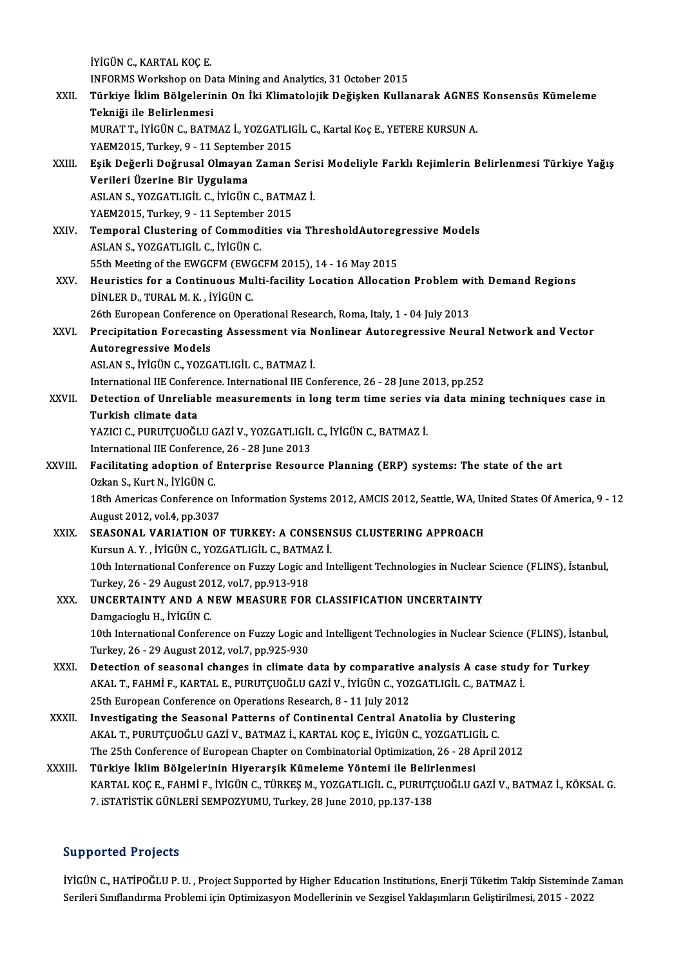İYİGÜN C., KARTAL KOÇ E. INFORMS Workshop on Data Mining and Analytics, 31 October 2015 İYİGÜN C., KARTAL KOÇ E.<br>INFORMS Workshop on Data Mining and Analytics, 31 October 2015<br>XXII. Telniği ile Belinlenmesi INFORMS Workshop on Da<br><mark>Türkiye İklim Bölgelerin</mark><br>Tekniği ile Belirlenmesi<br>MURAT T. İVİÇÜN G. BATM Türkiye İklim Bölgelerinin On İki Klimatolojik Değişken Kullanarak AGNES<br>Tekniği ile Belirlenmesi<br>MURAT T., İYİGÜN C., BATMAZ İ., YOZGATLIGİL C., Kartal Koç E., YETERE KURSUN A.<br>YAEM2015, Turkey 8, . 11 September 2015 Tekniği ile Belirlenmesi<br>MURAT T., İYİGÜN C., BATMAZ İ., YOZGATLIC<br>YAEM2015, Turkey, 9 - 11 September 2015<br>Fsik Değerli Değrusal Olmayan Zaman MURAT T., İYİGÜN C., BATMAZ İ., YOZGATLIGİL C., Kartal Koç E., YETERE KURSUN A.<br>YAEM2015, Turkey, 9 - 11 September 2015<br>XXIII. Bşik Değerli Doğrusal Olmayan Zaman Serisi Modeliyle Farklı Rejimlerin Belirlenmesi Türkiye Yağ YAEM2015, Turkey, 9 - 11 Septeml<br>Eşik Değerli Doğrusal Olmayan<br>Verileri Üzerine Bir Uygulama<br>ASLANS, VOZCATUCÜ C, İVİCÜN Eşik Değerli Doğrusal Olmayan Zaman Seri:<br>Verileri Üzerine Bir Uygulama<br>ASLAN S., YOZGATLIGİL C., İYİGÜN C., BATMAZ İ.<br>VAEM2015. Turkey 9. -11 Sentember 2015 Verileri Üzerine Bir Uygulama<br>ASLAN S., YOZGATLIGİL C., İYİGÜN C., BATMAZ İ.<br>YAEM2015, Turkey, 9 - 11 September 2015 ASLAN S., YOZGATLIGİL C., İYİGÜN C., BATMAZ İ.<br>YAEM2015, Turkey, 9 - 11 September 2015<br>XXIV. Temporal Clustering of Commodities via ThresholdAutoregressive Models<br>ASLAN S. XOZGATLICİL G. İYİGÜN G YAEM2015, Turkey, 9 - 11 September<br>Temporal Clustering of Commodi<br>ASLAN S., YOZGATLIGİL C., İYİGÜN C.<br>EEth Meeting of the EWCCEM (EWCC Temporal Clustering of Commodities via ThresholdAutoreg<br>ASLAN S., YOZGATLIGİL C., İYİGÜN C.<br>55th Meeting of the EWGCFM (EWGCFM 2015), 14 - 16 May 2015<br>Hauristies for a Continuous Multi facility Location Allocatio ASLAN S., YOZGATLIGIL C., IYIGÜN C.<br>55th Meeting of the EWGCFM (EWGCFM 2015), 14 - 16 May 2015<br>XXV. Heuristics for a Continuous Multi-facility Location Allocation Problem with Demand Regions<br>DINLER D. TURAL M. K., IVIC 55th Meeting of the EWGCFM (EWO<br>Heuristics for a Continuous Mu<br>DİNLER D., TURAL M. K. , İYİGÜN C.<br>26th Euronsan Conferense on Onel Heuristics for a Continuous Multi-facility Location Allocation Problem wi<br>DiNLER D., TURAL M. K. , İYİGÜN C.<br>26th European Conference on Operational Research, Roma, Italy, 1 - 04 July 2013<br>Presinitation Foreseating Assessm DINLER D., TURAL M. K. , IYIGÜN C.<br>26th European Conference on Operational Research, Roma, Italy, 1 - 04 July 2013<br>XXVI. Precipitation Forecasting Assessment via Nonlinear Autoregressive Neural Network and Vector<br>Autoregre 26th European Conference<br>Precipitation Forecastii<br>Autoregressive Models<br>ASLAN S. IVICÜN C. VOZC Precipitation Forecasting Assessment via N<br>Autoregressive Models<br>ASLAN S., İYİGÜN C., YOZGATLIGİL C., BATMAZ İ.<br>International IIE Conference International IIE Co Autoregressive Models<br>ASLAN S., İYİGÜN C., YOZGATLIGİL C., BATMAZ İ.<br>International IIE Conference. International IIE Conference, 26 - 28 June 2013, pp.252<br>Petestian of Unneliable measuusments in lens term time serise via d ASLAN S., İYİGÜN C., YOZGATLIGİL C., BATMAZ İ.<br>International IIE Conference. International IIE Conference, 26 - 28 June 2013, pp.252<br>XXVII. Detection of Unreliable measurements in long term time series via data mining International IIE Confer<br>Detection of Unrelial<br>Turkish climate data<br>YAZICLC BUBUTCUOČI Detection of Unreliable measurements in long term time series v<br>Turkish climate data<br>YAZICI C., PURUTÇUOĞLU GAZİ V., YOZGATLIGİL C., İYİGÜN C., BATMAZ İ.<br>International IIE Conference 26, 28 June 2012 Turkish climate data<br>YAZICI C., PURUTÇUOĞLU GAZİ V., YOZGATLIGİL<br>International IIE Conference, 26 - 28 June 2013<br>Facilitating adontion of Enternrise Beseur International IIE Conference, 26 - 28 June 2013<br>XXVIII. Facilitating adoption of Enterprise Resource Planning (ERP) systems: The state of the art International IIE Conferenc<br>Facilitating adoption of<br>Ozkan S., Kurt N., İYİGÜN C.<br>19th Americas Conference. 18th Americas Conference on Information Systems 2012, AMCIS 2012, Seattle, WA, United States Of America, 9 - 12<br>August 2012, vol.4, pp.3037 Ozkan S., Kurt N., İYİGÜN C.<br>18th Americas Conference o<br>August 2012, vol.4, pp.3037<br>SEASONAL VABLATION OL 18th Americas Conference on Information Systems 2012, AMCIS 2012, Seattle, WA, Ur<br>August 2012, vol.4, pp.3037<br>XXIX. SEASONAL VARIATION OF TURKEY: A CONSENSUS CLUSTERING APPROACH<br>Virginal X. Wickly G. VOZCATUGU G. PATMAZI August 2012, vol.4, pp.3037<br>SEASONAL VARIATION OF TURKEY: A CONSEN<br>Kursun A.Y. , İYİGÜN C., YOZGATLIGİL C., BATMAZ İ.<br>10th International Conference on Euggy Logis and In Kursun A. Y. , İYİGÜN C., YOZGATLIGİL C., BATMAZ İ.<br>10th International Conference on Fuzzy Logic and Intelligent Technologies in Nuclear Science (FLINS), İstanbul, Kursun A. Y. , İYİGÜN C., YOZGATLIGİL C., BATM.<br>10th International Conference on Fuzzy Logic a:<br>Turkey, 26 - 29 August 2012, vol.7, pp.913-918<br>UNGERTAINTY AND A NEW MEASUPE EOR XXX. UNCERTAINTY AND A NEW MEASURE FOR CLASSIFICATION UNCERTAINTY<br>Damgacioglu H., IYIGÜN C. Turkey, 26 - 29 August 20<br>**UNCERTAINTY AND A N**<br>Damgacioglu H., İYİGÜN C.<br>10th International Confore UNCERTAINTY AND A NEW MEASURE FOR CLASSIFICATION UNCERTAINTY<br>Damgacioglu H., İYİGÜN C.<br>10th International Conference on Fuzzy Logic and Intelligent Technologies in Nuclear Science (FLINS), İstanbul,<br>Turkay 26, 29 Avgust 20 Damgacioglu H., İYİGÜN C.<br>10th International Conference on Fuzzy Logic a:<br>Turkey, 26 - 29 August 2012, vol.7, pp.925-930<br>Petestion of seesenal shanges in slimate d 10th International Conference on Fuzzy Logic and Intelligent Technologies in Nuclear Science (FLINS), İstan<br>Turkey, 26 - 29 August 2012, vol.7, pp.925-930<br>XXXI. Detection of seasonal changes in climate data by comparative Turkey, 26 - 29 August 2012, vol.7, pp.925-930<br>Detection of seasonal changes in climate data by comparative analysis A case study<br>AKAL T., FAHMİ F., KARTAL E., PURUTÇUOĞLU GAZİ V., İYİGÜN C., YOZGATLIGİL C., BATMAZ İ.<br>25th Detection of seasonal changes in climate data by comparative<br>AKAL T., FAHMİ F., KARTAL E., PURUTÇUOĞLU GAZİ V., İYİGÜN C., YOZ<br>25th European Conference on Operations Research, 8 - 11 July 2012<br>Investigating the Seasonal Pa AKAL T., FAHMİ F., KARTAL E., PURUTÇUOĞLU GAZİ V., İYİGÜN C., YOZGATLIGİL C., BATMAZ<br>25th European Conference on Operations Research, 8 - 11 July 2012<br>XXXII. Investigating the Seasonal Patterns of Continental Central Anato 25th European Conference on Operations Research, 8 - 11 July 2012<br>Investigating the Seasonal Patterns of Continental Central Anatolia by Cluster:<br>AKAL T., PURUTÇUOĞLU GAZİ V., BATMAZ İ., KARTAL KOÇ E., İYİGÜN C., YOZGATLIG Investigating the Seasonal Patterns of Continental Central Anatolia by Clustering<br>AKAL T., PURUTÇUOĞLU GAZİ V., BATMAZ İ., KARTAL KOÇ E., İYİGÜN C., YOZGATLIGİL C.<br>Türkiye İklim Bölgelerinin Hiyerersik Kümeleme Vöntemi ile AKAL T., PURUTÇUOĞLU GAZİ V., BATMAZ İ., KARTAL KOÇ E., İYİGÜN C., YOZGATLIG<br>The 25th Conference of European Chapter on Combinatorial Optimization, 26 - 28 A<br>XXXIII. Türkiye İklim Bölgelerinin Hiyerarşik Kümeleme Yönte The 25th Conference of European Chapter on Combinatorial Optimization, 26 - 28 April 2012<br><mark>Türkiye İklim Bölgelerinin Hiyerarşik Kümeleme Yöntemi ile Belirlenmesi</mark><br>KARTAL KOÇ E., FAHMİ F., İYİGÜN C., TÜRKEŞ M., YOZGATLIGİL Türkiye İklim Bölgelerinin Hiyerarşik Kümeleme Yöntemi ile Belir<br>KARTAL KOÇ E., FAHMİ F., İYİGÜN C., TÜRKEŞ M., YOZGATLIGİL C., PURUTÇ<br>7. iSTATİSTİK GÜNLERİ SEMPOZYUMU, Turkey, 28 June 2010, pp.137-138 7. iSTATİSTİK GÜNLERİ SEMPOZYUMU, Turkey, 28 June 2010, pp.137-138<br>Supported Projects

**Supported Projects**<br>İYİGÜN C., HATİPOĞLU P. U. , Project Supported by Higher Education Institutions, Enerji Tüketim Takip Sisteminde Zaman<br>Serileri Surflandurma Prahlemi isin Ontimirasyon Medellerinin ve Sarsisel Vakkayml Supportear I rojects<br>İYİGÜN C., HATİPOĞLU P. U. , Project Supported by Higher Education Institutions, Enerji Tüketim Takip Sisteminde<br>Serileri Sınıflandırma Problemi için Optimizasyon Modellerinin ve Sezgisel Yaklaşımların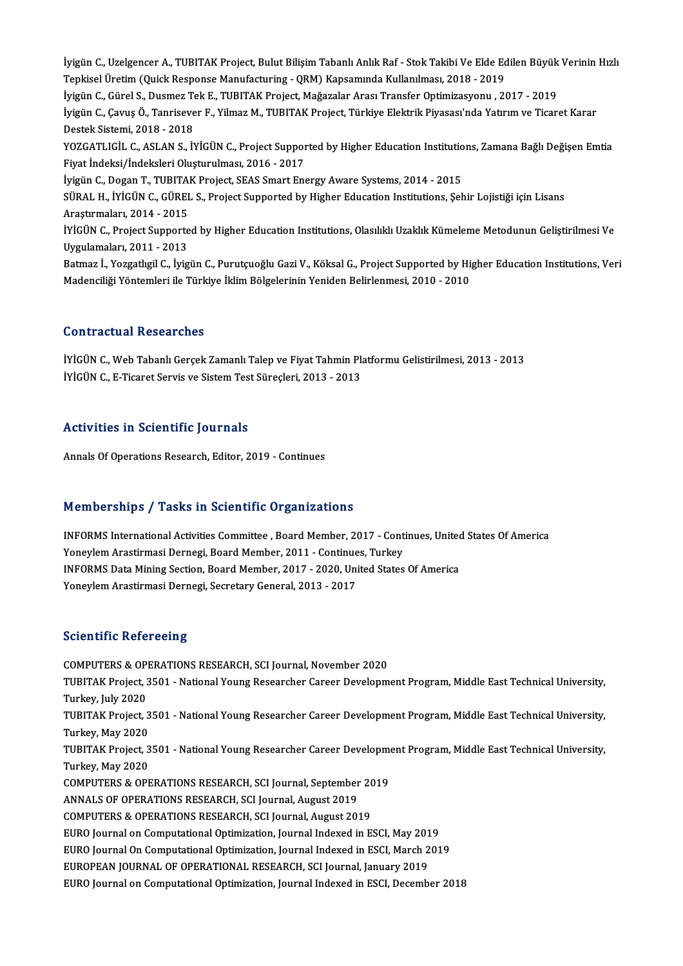İyigün C., Uzelgencer A., TUBITAK Project, Bulut Bilişim Tabanlı Anlık Raf - Stok Takibi Ve Elde Edilen Büyük Verinin Hızlı<br>Tankisel Üretim (Quisk Reenange Manufasturing - QPM) Kansamında Kullanılması, 2019 - 2019 İyigün C., Uzelgencer A., TUBITAK Project, Bulut Bilişim Tabanlı Anlık Raf - Stok Takibi Ve Elde Ed<br>Tepkisel Üretim (Quick Response Manufacturing - QRM) Kapsamında Kullanılması, 2018 - 2019<br>İvigün C. Gürel S. Duames Tek E. İyigün C., Uzelgencer A., TUBITAK Project, Bulut Bilişim Tabanlı Anlık Raf - Stok Takibi Ve Elde Edilen Büyük<br>Tepkisel Üretim (Quick Response Manufacturing - QRM) Kapsamında Kullanılması, 2018 - 2019<br>İyigün C., Gürel S., D Tepkisel Üretim (Quick Response Manufacturing - QRM) Kapsamında Kullanılması, 2018 - 2019<br>İyigün C., Gürel S., Dusmez Tek E., TUBITAK Project, Mağazalar Arası Transfer Optimizasyonu , 2017 - 2019<br>İyigün C., Çavuş Ö., Tanri İyigün C., Gürel S., Dusmez Tek E., TUBITAK Project, Mağazalar Arası Transfer Optimizasyonu , 2017 - 2019 İyigün C., Çavuş Ö., Tanrisever F., Yilmaz M., TUBITAK Project, Türkiye Elektrik Piyasası'nda Yatırım ve Ticaret Karar<br>Destek Sistemi, 2018 - 2018<br>YOZGATLIGİL C., ASLAN S., İYİGÜN C., Project Supported by Higher Education Destek Sistemi, 2018 - 2018<br>YOZGATLIGİL C., ASLAN S., İYİGÜN C., Project Suppor<br>Fiyat İndeksi/İndeksleri Oluşturulması, 2016 - 2017<br>İvigün G. Dogan T. TUPITAK Project, SEAS Smart Ene YOZGATLIGİL C., ASLAN S., İYİGÜN C., Project Supported by Higher Education Institutio<br>Fiyat İndeksi/İndeksleri Oluşturulması, 2016 - 2017<br>İyigün C., Dogan T., TUBITAK Project, SEAS Smart Energy Aware Systems, 2014 - 2015<br>S Fiyat İndeksi/İndeksleri Oluşturulması, 2016 - 2017<br>İyigün C., Dogan T., TUBITAK Project, SEAS Smart Energy Aware Systems, 2014 - 2015<br>SÜRAL H., İYİGÜN C., GÜREL S., Project Supported by Higher Education Institutions, Şehi İyigün C., Dogan T., TUBITAK Project, SEAS Smart Energy Aware Systems, 2014 - 2015 SÜRAL H., İYİGÜN C., GÜREL S., Project Supported by Higher Education Institutions, Şehir Lojistiği için Lisans<br>Araştırmaları, 2014 - 2015<br>İYİGÜN C., Project Supported by Higher Education Institutions, Olasılıklı Uzaklık Kü Araştırmaları, 2014 - 2015<br>İYİGÜN C., Project Supporte<br>Uygulamaları, 2011 - 2013<br>Petmar İ. Versatlısıl C. İttis Uygulamaları, 2011 - 2013<br>Batmaz İ., Yozgatlıgil C., İyigün C., Purutçuoğlu Gazi V., Köksal G., Project Supported by Higher Education Institutions, Veri Madenciliği Yöntemleri ile Türkiye İklim Bölgelerinin Yeniden Belirlenmesi, 2010 - 2010

#### Contractual Researches

İYİGÜNC.,WebTabanlıGerçekZamanlıTalep ve FiyatTahminPlatformuGelistirilmesi,2013 -2013 İYİGÜN C., E-Ticaret Servis ve Sistem Test Süreçleri, 2013 - 2013

#### Activities in Scientific Journals

Annals Of Operations Research, Editor, 2019 - Continues

#### Memberships / Tasks in Scientific Organizations

INFORMS International Activities Committee, Board Member, 2017 - Continues, United States Of America Yoneylem Arastirmasi Dernegi, Board Member, 2011 - Continues, Turkey INFORMS International Activities Committee , Board Member, 2017 - Continues, United<br>Yoneylem Arastirmasi Dernegi, Board Member, 2011 - Continues, Turkey<br>INFORMS Data Mining Section, Board Member, 2017 - 2020, United States Yoneylem Arastirmasi Dernegi, Board Member, 2011 - Continue<br>INFORMS Data Mining Section, Board Member, 2017 - 2020, Uni<br>Yoneylem Arastirmasi Dernegi, Secretary General, 2013 - 2017 Yoneylem Arastirmasi Dernegi, Secretary General, 2013 - 2017<br>Scientific Refereeing

COMPUTERS&OPERATIONSRESEARCH,SCI Journal,November 2020 Beforminne Tierer Benng<br>COMPUTERS & OPERATIONS RESEARCH, SCI Journal, November 2020<br>TUBITAK Project, 3501 - National Young Researcher Career Development Program, Middle East Technical University, COMPUTERS & OP<br>TUBITAK Project, 3<br>Turkey, July 2020<br>TURITAK Project 3 TUBITAK Project, 3501 - National Young Researcher Career Development Program, Middle East Technical University,<br>Turkey, July 2020<br>TUBITAK Project, 3501 - National Young Researcher Career Development Program, Middle East Te Turkey, July 2020<br>TUBITAK Project, 3501 - National Young Researcher Career Development Program, Middle East Technical University,<br>Turkey, May 2020 TUBITAK Project, 3501 - National Young Researcher Career Development Program, Middle East Technical University,<br>Turkey, May 2020<br>TUBITAK Project, 3501 - National Young Researcher Career Development Program, Middle East Tec Turkey, May 2020<br>TUBITAK Project, 3<br>Turkey, May 2020<br>COMBUTERS & OB TUBITAK Project, 3501 - National Young Researcher Career Developme<br>Turkey, May 2020<br>COMPUTERS & OPERATIONS RESEARCH, SCI Journal, September 2019<br>ANNALS OF OPERATIONS RESEARCH, SCI Journal, August 2019 Turkey, May 2020<br>COMPUTERS & OPERATIONS RESEARCH, SCI Journal, September<br>ANNALS OF OPERATIONS RESEARCH, SCI Journal, August 2019<br>COMPUTERS & OPERATIONS RESEARCH, SCI Journal, August 201 COMPUTERS & OPERATIONS RESEARCH, SCI Journal, September 20<br>ANNALS OF OPERATIONS RESEARCH, SCI Journal, August 2019<br>COMPUTERS & OPERATIONS RESEARCH, SCI Journal, August 2019<br>FURO Journal on Computational Optimization, Journ ANNALS OF OPERATIONS RESEARCH, SCI Journal, August 2019<br>COMPUTERS & OPERATIONS RESEARCH, SCI Journal, August 2019<br>EURO Journal on Computational Optimization, Journal Indexed in ESCI, May 2019<br>EURO Journal On Computational COMPUTERS & OPERATIONS RESEARCH, SCI Journal, August 2019<br>EURO Journal on Computational Optimization, Journal Indexed in ESCI, May 2019<br>EURO Journal On Computational Optimization, Journal Indexed in ESCI, March 2019<br>FUROPE EURO Journal on Computational Optimization, Journal Indexed in ESCI, May 201<br>EURO Journal On Computational Optimization, Journal Indexed in ESCI, March 2<br>EUROPEAN JOURNAL OF OPERATIONAL RESEARCH, SCI Journal, January 2019<br> EURO Journal On Computational Optimization, Journal Indexed in ESCI, March 2019<br>EUROPEAN JOURNAL OF OPERATIONAL RESEARCH, SCI Journal, January 2019<br>EURO Journal on Computational Optimization, Journal Indexed in ESCI, Decem